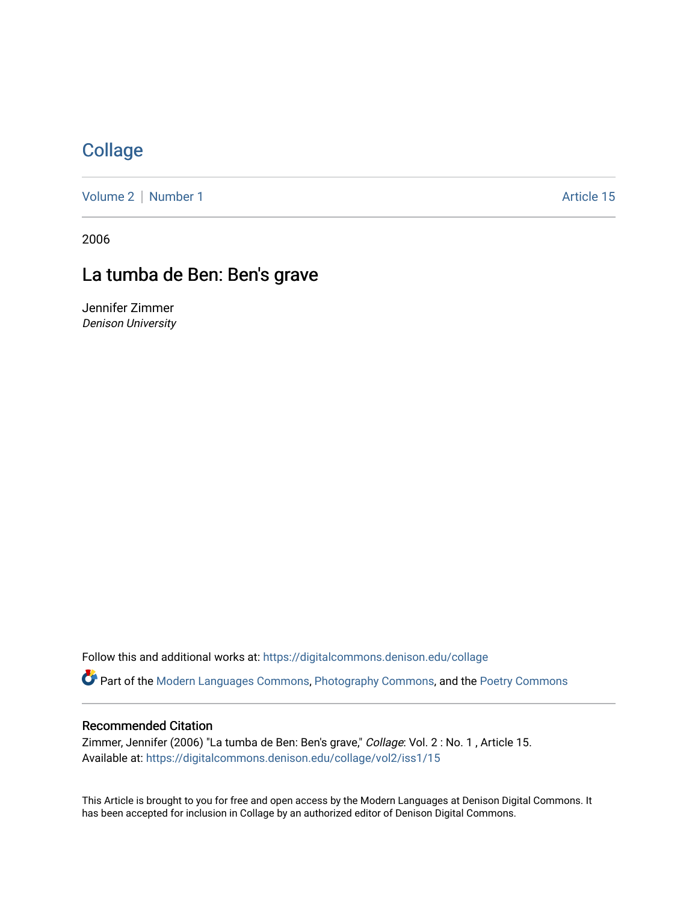# **[Collage](https://digitalcommons.denison.edu/collage)**

[Volume 2](https://digitalcommons.denison.edu/collage/vol2) | [Number 1](https://digitalcommons.denison.edu/collage/vol2/iss1) Article 15

2006

## La tumba de Ben: Ben's grave

Jennifer Zimmer Denison University

Follow this and additional works at: [https://digitalcommons.denison.edu/collage](https://digitalcommons.denison.edu/collage?utm_source=digitalcommons.denison.edu%2Fcollage%2Fvol2%2Fiss1%2F15&utm_medium=PDF&utm_campaign=PDFCoverPages)  Part of the [Modern Languages Commons,](http://network.bepress.com/hgg/discipline/1130?utm_source=digitalcommons.denison.edu%2Fcollage%2Fvol2%2Fiss1%2F15&utm_medium=PDF&utm_campaign=PDFCoverPages) [Photography Commons](http://network.bepress.com/hgg/discipline/1142?utm_source=digitalcommons.denison.edu%2Fcollage%2Fvol2%2Fiss1%2F15&utm_medium=PDF&utm_campaign=PDFCoverPages), and the [Poetry Commons](http://network.bepress.com/hgg/discipline/1153?utm_source=digitalcommons.denison.edu%2Fcollage%2Fvol2%2Fiss1%2F15&utm_medium=PDF&utm_campaign=PDFCoverPages)

## Recommended Citation

Zimmer, Jennifer (2006) "La tumba de Ben: Ben's grave," Collage: Vol. 2 : No. 1 , Article 15. Available at: [https://digitalcommons.denison.edu/collage/vol2/iss1/15](https://digitalcommons.denison.edu/collage/vol2/iss1/15?utm_source=digitalcommons.denison.edu%2Fcollage%2Fvol2%2Fiss1%2F15&utm_medium=PDF&utm_campaign=PDFCoverPages)

This Article is brought to you for free and open access by the Modern Languages at Denison Digital Commons. It has been accepted for inclusion in Collage by an authorized editor of Denison Digital Commons.